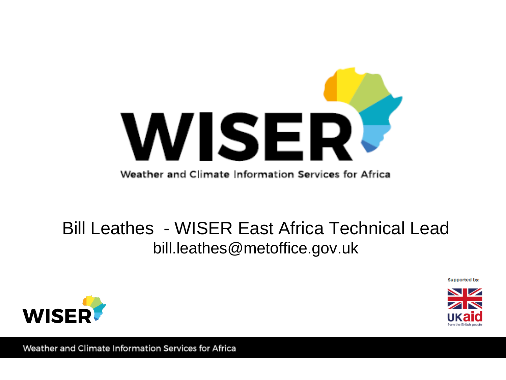

#### Bill Leathes - WISER East Africa Technical Lead bill.leathes@metoffice.gov.uk

Supported by:



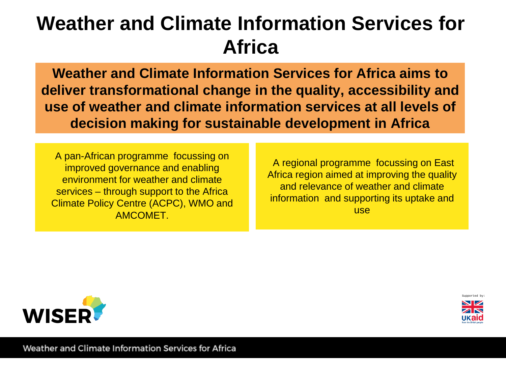## **Weather and Climate Information Services for Africa**

**Weather and Climate Information Services for Africa aims to deliver transformational change in the quality, accessibility and use of weather and climate information services at all levels of decision making for sustainable development in Africa**

A pan-African programme focussing on improved governance and enabling environment for weather and climate services – through support to the Africa Climate Policy Centre (ACPC), WMO and AMCOMET.

A regional programme focussing on East Africa region aimed at improving the quality and relevance of weather and climate information and supporting its uptake and use



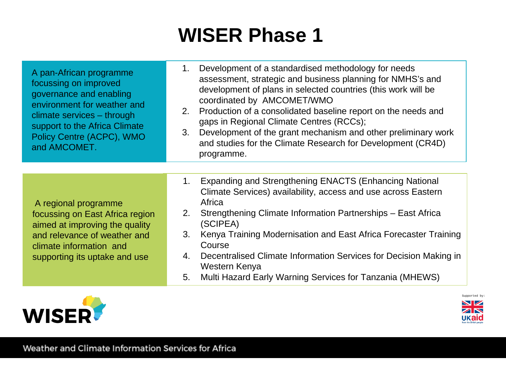## **WISER Phase 1**

A pan-African programme focussing on improved governance and enabling environment for weather and climate services – through support to the Africa Climate Policy Centre (ACPC), WMO and AMCOMET.

- 1. Development of a standardised methodology for needs assessment, strategic and business planning for NMHS's and development of plans in selected countries (this work will be coordinated by AMCOMET/WMO
- 2. Production of a consolidated baseline report on the needs and gaps in Regional Climate Centres (RCCs);
- 3. Development of the grant mechanism and other preliminary work and studies for the Climate Research for Development (CR4D) programme.

A regional programme focussing on East Africa region aimed at improving the quality and relevance of weather and climate information and supporting its uptake and use

- 1. Expanding and Strengthening ENACTS (Enhancing National Climate Services) availability, access and use across Eastern Africa
- 2. Strengthening Climate Information Partnerships East Africa (SCIPEA)
- 3. Kenya Training Modernisation and East Africa Forecaster Training Course
- 4. Decentralised Climate Information Services for Decision Making in Western Kenya
- 5. Multi Hazard Early Warning Services for Tanzania (MHEWS)



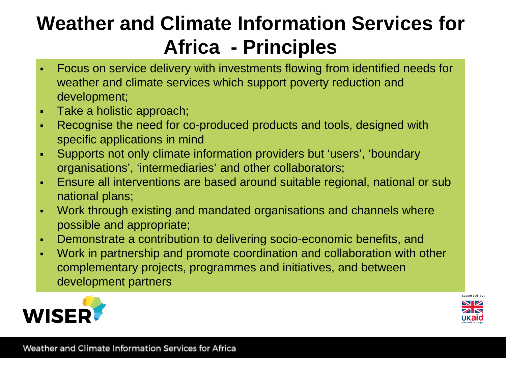# **Weather and Climate Information Services for Africa - Principles**

- Focus on service delivery with investments flowing from identified needs for weather and climate services which support poverty reduction and development;
- **Take a holistic approach;**
- Recognise the need for co-produced products and tools, designed with specific applications in mind
- Supports not only climate information providers but 'users', 'boundary organisations', 'intermediaries' and other collaborators;
- Ensure all interventions are based around suitable regional, national or sub national plans;
- Work through existing and mandated organisations and channels where possible and appropriate;
- Demonstrate a contribution to delivering socio-economic benefits, and
- Work in partnership and promote coordination and collaboration with other complementary projects, programmes and initiatives, and between development partners



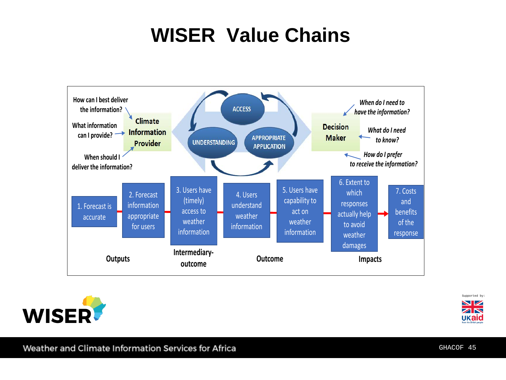## **WISER Value Chains**







Weather and Climate information Services for Africa

GHACOF 45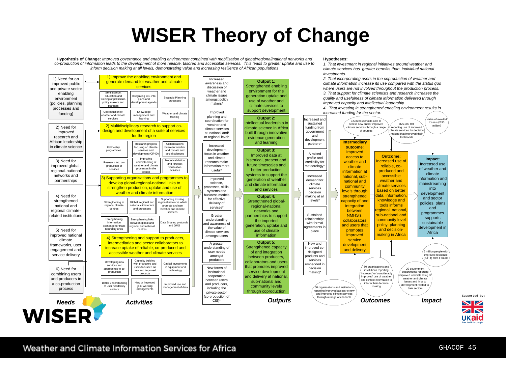#### **WISER Theory of Change**

**Hypotheses:**

*1. That investment in regional initiatives around weather and* 

**Hypothesis of Change:** *Improved governance and enabling environment combined with mobilisation of global/regional/national networks and co-production of information leads to the development of more reliable, tailored and accessible services. This leads to greater uptake and use to inform decision making at all levels, demonstrating value and increasing resilience of African populations*



Supported by

**NZ**  $\overline{\mathbf{Z}}\mathbf{N}$ 

ukaid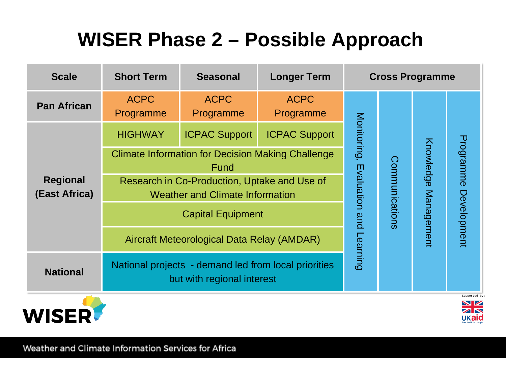# **WISER Phase 2 – Possible Approach**

| <b>Scale</b>                     | <b>Short Term</b>                                                                      | <b>Seasonal</b>          | <b>Longer Term</b>       | <b>Cross Programme</b>  |                |                      |                                                                                                                  |
|----------------------------------|----------------------------------------------------------------------------------------|--------------------------|--------------------------|-------------------------|----------------|----------------------|------------------------------------------------------------------------------------------------------------------|
| <b>Pan African</b>               | <b>ACPC</b><br>Programme                                                               | <b>ACPC</b><br>Programme | <b>ACPC</b><br>Programme |                         |                |                      |                                                                                                                  |
|                                  | <b>HIGHWAY</b>                                                                         | <b>ICPAC Support</b>     | <b>ICPAC Support</b>     | Monitoring,             |                |                      |                                                                                                                  |
|                                  | <b>Climate Information for Decision Making Challenge</b><br>Fund                       |                          |                          | Evaluation and Learning | Communications | Knowledge Management | Programme<br>Development                                                                                         |
| <b>Regional</b><br>(East Africa) | Research in Co-Production, Uptake and Use of<br><b>Weather and Climate Information</b> |                          |                          |                         |                |                      |                                                                                                                  |
|                                  | <b>Capital Equipment</b>                                                               |                          |                          |                         |                |                      |                                                                                                                  |
|                                  | <b>Aircraft Meteorological Data Relay (AMDAR)</b>                                      |                          |                          |                         |                |                      |                                                                                                                  |
| <b>National</b>                  | National projects - demand led from local priorities<br>but with regional interest     |                          |                          |                         |                |                      |                                                                                                                  |
|                                  |                                                                                        |                          |                          |                         |                |                      | Supported by<br>$\blacktriangleright$ $\blacktriangleright$<br>$\overline{\mathbf{Z}}\mathbf{N}$<br><b>UKaid</b> |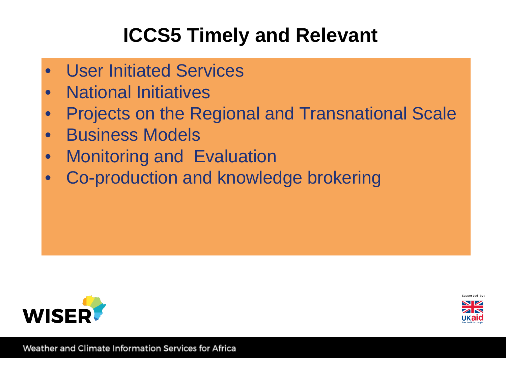# **ICCS5 Timely and Relevant**

- User Initiated Services
- National Initiatives
- Projects on the Regional and Transnational Scale
- Business Models
- Monitoring and Evaluation
- Co-production and knowledge brokering



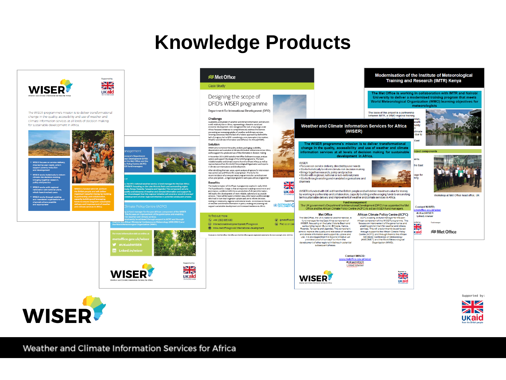#### **Knowledge Products**